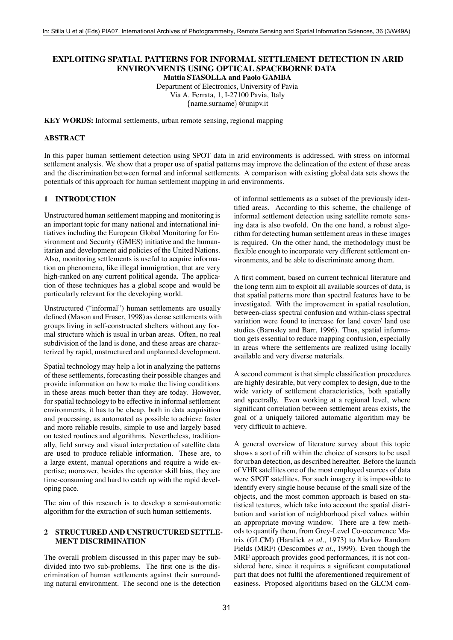# **EXPLOITING SPATIAL PATTERNS FOR INFORMAL SETTLEMENT DETECTION IN ARID ENVIRONMENTS USING OPTICAL SPACEBORNE DATA**

**Mattia STASOLLA and Paolo GAMBA**

Department of Electronics, University of Pavia Via A. Ferrata, 1, I-27100 Pavia, Italy

 $\{name.sumame\} @$ unipv.it

**KEY WORDS:** Informal settlements, urban remote sensing, regional mapping

#### **ABSTRACT**

In this paper human settlement detection using SPOT data in arid environments is addressed, with stress on informal settlement analysis. We show that a proper use of spatial patterns may improve the delineation of the extent of these areas and the discrimination between formal and informal settlements. A comparison with existing global data sets shows the potentials of this approach for human settlement mapping in arid environments.

### **1 INTRODUCTION**

Unstructured human settlement mapping and monitoring is an important topic for many national and international initiatives including the European Global Monitoring for Environment and Security (GMES) initiative and the humanitarian and development aid policies of the United Nations. Also, monitoring settlements is useful to acquire information on phenomena, like illegal immigration, that are very high-ranked on any current political agenda. The application of these techniques has a global scope and would be particularly relevant for the developing world.

Unstructured ("informal") human settlements are usually defined (Mason and Fraser, 1998) as dense settlements with groups living in self-constructed shelters without any formal structure which is usual in urban areas. Often, no real subdivision of the land is done, and these areas are characterized by rapid, unstructured and unplanned development.

Spatial technology may help a lot in analyzing the patterns of these settlements, forecasting their possible changes and provide information on how to make the living conditions in these areas much better than they are today. However, for spatial technology to be effective in informal settlement environments, it has to be cheap, both in data acquisition and processing, as automated as possible to achieve faster and more reliable results, simple to use and largely based on tested routines and algorithms. Nevertheless, traditionally, field survey and visual interpretation of satellite data are used to produce reliable information. These are, to a large extent, manual operations and require a wide expertise; moreover, besides the operator skill bias, they are time-consuming and hard to catch up with the rapid developing pace.

The aim of this research is to develop a semi-automatic algorithm for the extraction of such human settlements.

# **2 STRUCTURED AND UNSTRUCTURED SETTLE-MENT DISCRIMINATION**

The overall problem discussed in this paper may be subdivided into two sub-problems. The first one is the discrimination of human settlements against their surrounding natural environment. The second one is the detection of informal settlements as a subset of the previously identified areas. According to this scheme, the challenge of informal settlement detection using satellite remote sensing data is also twofold. On the one hand, a robust algorithm for detecting human settlement areas in these images is required. On the other hand, the methodology must be flexible enough to incorporate very different settlement environments, and be able to discriminate among them.

A first comment, based on current technical literature and the long term aim to exploit all available sources of data, is that spatial patterns more than spectral features have to be investigated. With the improvement in spatial resolution, between-class spectral confusion and within-class spectral variation were found to increase for land cover/ land use studies (Barnsley and Barr, 1996). Thus, spatial information gets essential to reduce mapping confusion, especially in areas where the settlements are realized using locally available and very diverse materials.

A second comment is that simple classification procedures are highly desirable, but very complex to design, due to the wide variety of settlement characteristics, both spatially and spectrally. Even working at a regional level, where significant correlation between settlement areas exists, the goal of a uniquely tailored automatic algorithm may be very difficult to achieve.

A general overview of literature survey about this topic shows a sort of rift within the choice of sensors to be used for urban detection, as described hereafter. Before the launch of VHR satellites one of the most employed sources of data were SPOT satellites. For such imagery it is impossible to identify every single house because of the small size of the objects, and the most common approach is based on statistical textures, which take into account the spatial distribution and variation of neighborhood pixel values within an appropriate moving window. There are a few methods to quantify them, from Grey-Level Co-occurrence Matrix (GLCM) (Haralick *et al.*, 1973) to Markov Random Fields (MRF) (Descombes *et al.*, 1999). Even though the MRF approach provides good performances, it is not considered here, since it requires a significant computational part that does not fulfil the aforementioned requirement of easiness. Proposed algorithms based on the GLCM com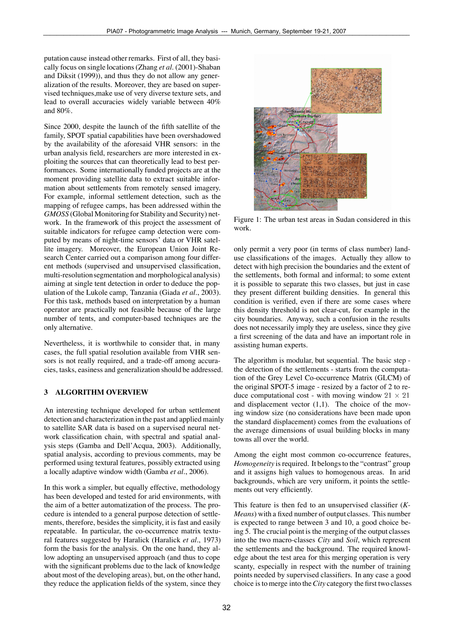putation cause instead other remarks. First of all, they basically focus on single locations (Zhang *et al.* (2001)-Shaban and Diksit (1999)), and thus they do not allow any generalization of the results. Moreover, they are based on supervised techniques,make use of very diverse texture sets, and lead to overall accuracies widely variable between 40% and 80%.

Since 2000, despite the launch of the fifth satellite of the family, SPOT spatial capabilities have been overshadowed by the availability of the aforesaid VHR sensors: in the urban analysis field, researchers are more interested in exploiting the sources that can theoretically lead to best performances. Some internationally funded projects are at the moment providing satellite data to extract suitable information about settlements from remotely sensed imagery. For example, informal settlement detection, such as the mapping of refugee camps, has been addressed within the *GMOSS* (Global Monitoring for Stability and Security) network. In the framework of this project the assessment of suitable indicators for refugee camp detection were computed by means of night-time sensors' data or VHR satellite imagery. Moreover, the European Union Joint Research Center carried out a comparison among four different methods (supervised and unsupervised classification, multi-resolutionsegmentation and morphological analysis) aiming at single tent detection in order to deduce the population of the Lukole camp, Tanzania (Giada *et al.*, 2003). For this task, methods based on interpretation by a human operator are practically not feasible because of the large number of tents, and computer-based techniques are the only alternative.

Nevertheless, it is worthwhile to consider that, in many cases, the full spatial resolution available from VHR sensors is not really required, and a trade-off among accuracies, tasks, easiness and generalization should be addressed.

### **3 ALGORITHM OVERVIEW**

An interesting technique developed for urban settlement detection and characterization in the past and applied mainly to satellite SAR data is based on a supervised neural network classification chain, with spectral and spatial analysis steps (Gamba and Dell'Acqua, 2003). Additionally, spatial analysis, according to previous comments, may be performed using textural features, possibly extracted using a locally adaptive window width (Gamba *et al.*, 2006).

In this work a simpler, but equally effective, methodology has been developed and tested for arid environments, with the aim of a better automatization of the process. The procedure is intended to a general purpose detection of settlements, therefore, besides the simplicity, it is fast and easily repeatable. In particular, the co-occurrence matrix textural features suggested by Haralick (Haralick *et al.*, 1973) form the basis for the analysis. On the one hand, they allow adopting an unsupervised approach (and thus to cope with the significant problems due to the lack of knowledge about most of the developing areas), but, on the other hand, they reduce the application fields of the system, since they



Figure 1: The urban test areas in Sudan considered in this work.

only permit a very poor (in terms of class number) landuse classifications of the images. Actually they allow to detect with high precision the boundaries and the extent of the settlements, both formal and informal; to some extent it is possible to separate this two classes, but just in case they present different building densities. In general this condition is verified, even if there are some cases where this density threshold is not clear-cut, for example in the city boundaries. Anyway, such a confusion in the results does not necessarily imply they are useless, since they give a first screening of the data and have an important role in assisting human experts.

The algorithm is modular, but sequential. The basic step the detection of the settlements - starts from the computation of the Grey Level Co-occurrence Matrix (GLCM) of the original SPOT-5 image - resized by a factor of 2 to reduce computational cost - with moving window  $21 \times 21$ and displacement vector (1,1). The choice of the moving window size (no considerations have been made upon the standard displacement) comes from the evaluations of the average dimensions of usual building blocks in many towns all over the world.

Among the eight most common co-occurrence features, *Homogeneity* is required. It belongs to the "contrast" group and it assigns high values to homogenous areas. In arid backgrounds, which are very uniform, it points the settlements out very efficiently.

This feature is then fed to an unsupervised classifier (*K-Means*) with a fixed number of output classes. This number is expected to range between 3 and 10, a good choice being 5. The crucial point is the merging of the output classes into the two macro-classes *City* and *Soil*, which represent the settlements and the background. The required knowledge about the test area for this merging operation is very scanty, especially in respect with the number of training points needed by supervised classifiers. In any case a good choice is to merge into the*City* category the first two classes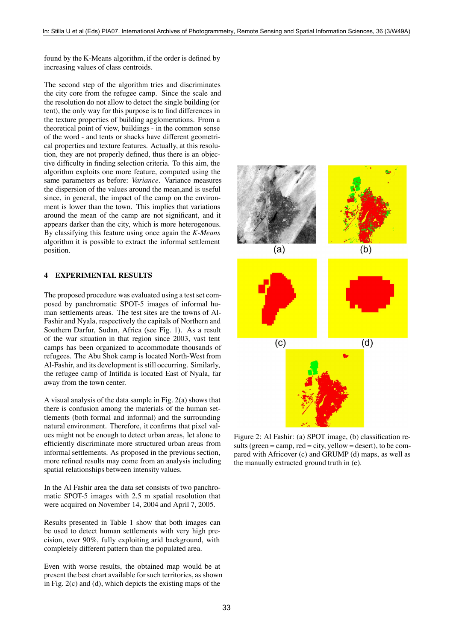found by the K-Means algorithm, if the order is defined by increasing values of class centroids.

The second step of the algorithm tries and discriminates the city core from the refugee camp. Since the scale and the resolution do not allow to detect the single building (or tent), the only way for this purpose is to find differences in the texture properties of building agglomerations. From a theoretical point of view, buildings - in the common sense of the word - and tents or shacks have different geometrical properties and texture features. Actually, at this resolution, they are not properly defined, thus there is an objective difficulty in finding selection criteria. To this aim, the algorithm exploits one more feature, computed using the same parameters as before: *Variance*. Variance measures the dispersion of the values around the mean,and is useful since, in general, the impact of the camp on the environment is lower than the town. This implies that variations around the mean of the camp are not significant, and it appears darker than the city, which is more heterogenous. By classifying this feature using once again the *K-Means* algorithm it is possible to extract the informal settlement position.

# **4 EXPERIMENTAL RESULTS**

The proposed procedure was evaluated using a test set composed by panchromatic SPOT-5 images of informal human settlements areas. The test sites are the towns of Al-Fashir and Nyala, respectively the capitals of Northern and Southern Darfur, Sudan, Africa (see Fig. 1). As a result of the war situation in that region since 2003, vast tent camps has been organized to accommodate thousands of refugees. The Abu Shok camp is located North-West from Al-Fashir, and its development is still occurring. Similarly, the refugee camp of Intifida is located East of Nyala, far away from the town center.

A visual analysis of the data sample in Fig. 2(a) shows that there is confusion among the materials of the human settlements (both formal and informal) and the surrounding natural environment. Therefore, it confirms that pixel values might not be enough to detect urban areas, let alone to efficiently discriminate more structured urban areas from informal settlements. As proposed in the previous section, more refined results may come from an analysis including spatial relationships between intensity values.

In the Al Fashir area the data set consists of two panchromatic SPOT-5 images with 2.5 m spatial resolution that were acquired on November 14, 2004 and April 7, 2005.

Results presented in Table 1 show that both images can be used to detect human settlements with very high precision, over 90%, fully exploiting arid background, with completely different pattern than the populated area.

Even with worse results, the obtained map would be at present the best chart available for such territories, as shown in Fig. 2(c) and (d), which depicts the existing maps of the



Figure 2: Al Fashir: (a) SPOT image, (b) classification results (green = camp, red = city, yellow = desert), to be compared with Africover (c) and GRUMP (d) maps, as well as the manually extracted ground truth in (e).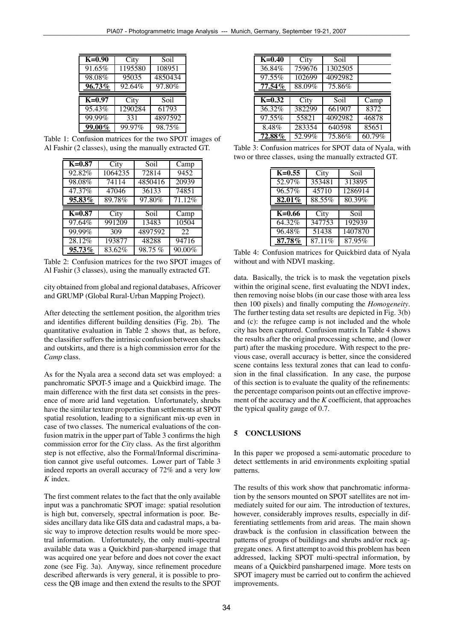| $\overline{K=0.90}$ | City    | Soil    |
|---------------------|---------|---------|
| 91.65%              | 1195580 | 108951  |
| 98.08%              | 95035   | 4850434 |
| 96.73%              | 92.64%  | 97.80%  |
|                     |         |         |
| $K=0.97$            | City    | Soil    |
| 95.43%              | 1290284 | 61793   |
| 99.99%              | 331     | 4897592 |

Table 1: Confusion matrices for the two SPOT images of Al Fashir (2 classes), using the manually extracted GT.

| $K=0.87$            | City    | Soil    | $\overline{C}$ amp |
|---------------------|---------|---------|--------------------|
| 92.82%              | 1064235 | 72814   | 9452               |
| 98.08%              | 74114   | 4850416 | 20939              |
| 47.37%              | 47046   | 36133   | 74851              |
| 95.83%              | 89.78%  | 97.80%  | 71.12%             |
|                     |         |         |                    |
|                     |         |         |                    |
| $\overline{K=0.87}$ | City    | Soil    | Camp               |
| 97.64%              | 991209  | 13483   | 10504              |
| 99.99%              | 309     | 4897592 | 22                 |
| 28.12%              | 193877  | 48288   | 94716              |

Table 2: Confusion matrices for the two SPOT images of Al Fashir (3 classes), using the manually extracted GT.

city obtained from global and regional databases, Africover and GRUMP (Global Rural-Urban Mapping Project).

After detecting the settlement position, the algorithm tries and identifies different building densities (Fig. 2b). The quantitative evaluation in Table 2 shows that, as before, the classifier suffers the intrinsic confusion between shacks and outskirts, and there is a high commission error for the *Camp* class.

As for the Nyala area a second data set was employed: a panchromatic SPOT-5 image and a Quickbird image. The main difference with the first data set consists in the presence of more arid land vegetation. Unfortunately, shrubs have the similar texture properties than settlements at SPOT spatial resolution, leading to a significant mix-up even in case of two classes. The numerical evaluations of the confusion matrix in the upper part of Table 3 confirms the high commission error for the *City* class. As the first algorithm step is not effective, also the Formal/Informal discrimination cannot give useful outcomes. Lower part of Table 3 indeed reports an overall accuracy of 72% and a very low *K* index.

The first comment relates to the fact that the only available input was a panchromatic SPOT image: spatial resolution is high but, conversely, spectral information is poor. Besides ancillary data like GIS data and cadastral maps, a basic way to improve detection results would be more spectral information. Unfortunately, the only multi-spectral available data was a Quickbird pan-sharpened image that was acquired one year before and does not cover the exact zone (see Fig. 3a). Anyway, since refinement procedure described afterwards is very general, it is possible to process the QB image and then extend the results to the SPOT

| $K=0.40$ | City   | Soil    |        |
|----------|--------|---------|--------|
| 36.84%   | 759676 | 1302505 |        |
| 97.55%   | 102699 | 4092982 |        |
| 77.54%   | 88.09% | 75.86%  |        |
| $K=0.32$ | City   | Soil    | Camp   |
| 36.32%   | 382299 | 661907  | 8372   |
| 97.55%   | 55821  | 4092982 | 46878  |
| 8.48%    | 283354 | 640598  | 85651  |
| 72.88%   | 52.99% | 75.86%  | 60.79% |

Table 3: Confusion matrices for SPOT data of Nyala, with two or three classes, using the manually extracted GT.

| $K=0.55$            | City   | Soil    |
|---------------------|--------|---------|
| 52.97%              | 353481 | 313895  |
| 96.57%              | 45710  | 1286914 |
| 82.01%              | 88.55% | 80.39%  |
|                     |        |         |
|                     |        |         |
| $\overline{K=0.66}$ | City   | Soil    |
| 64.32%              | 347753 | 192939  |
| 96.48%              | 51438  | 1407870 |

Table 4: Confusion matrices for Quickbird data of Nyala without and with NDVI masking.

data. Basically, the trick is to mask the vegetation pixels within the original scene, first evaluating the NDVI index, then removing noise blobs (in our case those with area less then 100 pixels) and finally computing the *Homogeneity*. The further testing data set results are depicted in Fig. 3(b) and (c): the refugee camp is not included and the whole city has been captured. Confusion matrix In Table 4 shows the results after the original processing scheme, and (lower part) after the masking procedure. With respect to the previous case, overall accuracy is better, since the considered scene contains less textural zones that can lead to confusion in the final classification. In any case, the purpose of this section is to evaluate the quality of the refinements: the percentage comparison points out an effective improvement of the accuracy and the *K* coefficient, that approaches the typical quality gauge of 0.7.

### **5 CONCLUSIONS**

In this paper we proposed a semi-automatic procedure to detect settlements in arid environments exploiting spatial patterns.

The results of this work show that panchromatic information by the sensors mounted on SPOT satellites are not immediately suited for our aim. The introduction of textures, however, considerably improves results, especially in differentiating settlements from arid areas. The main shown drawback is the confusion in classification between the patterns of groups of buildings and shrubs and/or rock aggregate ones. A first attempt to avoid this problem has been addressed, lacking SPOT multi-spectral information, by means of a Quickbird pansharpened image. More tests on SPOT imagery must be carried out to confirm the achieved improvements.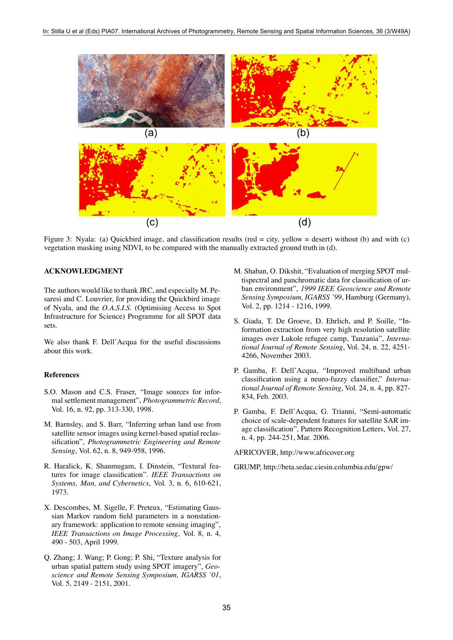

Figure 3: Nyala: (a) Quickbird image, and classification results (red = city, yellow = desert) without (b) and with (c) vegetation masking using NDVI, to be compared with the manually extracted ground truth in (d).

### **ACKNOWLEDGMENT**

The authors would like to thank JRC, and especially M. Pesaresi and C. Louvrier, for providing the Quickbird image of Nyala, and the *O.A.S.I.S.* (Optimising Access to Spot Infrastructure for Science) Programme for all SPOT data sets.

We also thank F. Dell'Acqua for the useful discussions about this work.

#### **References**

- S.O. Mason and C.S. Fraser, "Image sources for informal settlement management", *Photogrammetric Record*, Vol. 16, n. 92, pp. 313-330, 1998.
- M. Barnsley, and S. Barr, "Inferring urban land use from satellite sensor images using kernel-based spatial reclassification", *Photogrammetric Engineering and Remote Sensing*, Vol. 62, n. 8, 949-958, 1996.
- R. Haralick, K. Shanmugam, I. Dinstein, "Textural features for image classification". *IEEE Transactions on Systems, Man, and Cybernetics*, Vol. 3, n. 6, 610-621, 1973.
- X. Descombes, M. Sigelle, F. Preteux, "Estimating Gaussian Markov random field parameters in a nonstationary framework: application to remote sensing imaging", *IEEE Transactions on Image Processing*, Vol. 8, n. 4, 490 - 503, April 1999.
- Q. Zhang; J. Wang; P. Gong; P. Shi, "Texture analysis for urban spatial pattern study using SPOT imagery", *Geoscience and Remote Sensing Symposium, IGARSS '01*, Vol. 5, 2149 - 2151, 2001.
- M. Shaban, O. Dikshit, "Evaluation of merging SPOT multispectral and panchromatic data for classification of urban environment", *1999 IEEE Geoscience and Remote Sensing Symposium, IGARSS '99*, Hamburg (Germany), Vol. 2, pp. 1214 - 1216, 1999.
- S. Giada, T. De Groeve, D. Ehrlich, and P. Soille, "Information extraction from very high resolution satellite images over Lukole refugee camp, Tanzania", *International Journal of Remote Sensing*, Vol. 24, n. 22, 4251- 4266, November 2003.
- P. Gamba, F. Dell'Acqua, "Improved multiband urban classification using a neuro-fuzzy classifier," *International Journal of Remote Sensing*, Vol. 24, n. 4, pp. 827- 834, Feb. 2003.
- P. Gamba, F. Dell'Acqua, G. Trianni, "Semi-automatic choice of scale-dependent features for satellite SAR image classification", Pattern Recognition Letters, Vol. 27, n. 4, pp. 244-251, Mar. 2006.

AFRICOVER, http://www.africover.org

GRUMP, http://beta.sedac.ciesin.columbia.edu/gpw/